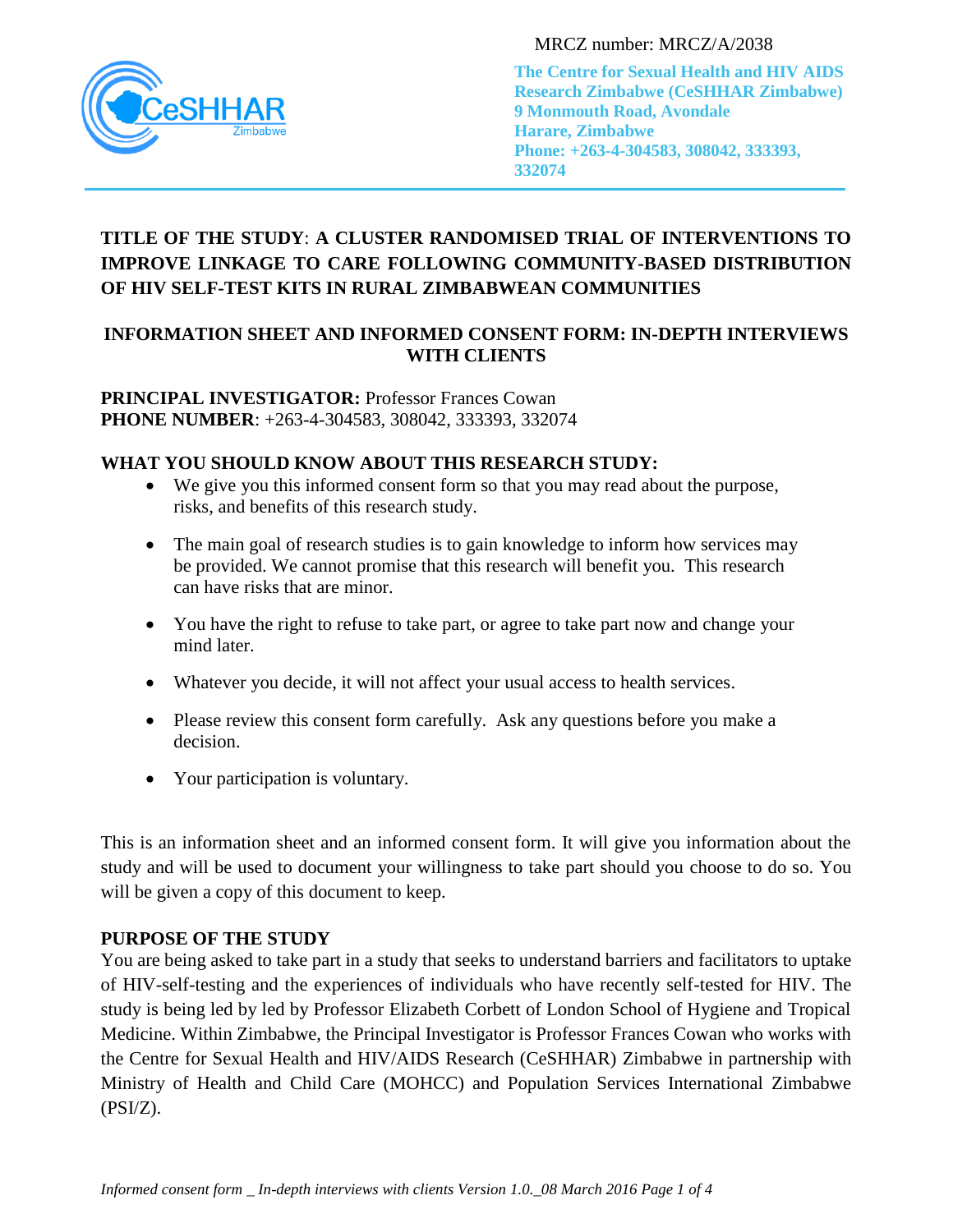

MRCZ number: MRCZ/A/2038

**The Centre for Sexual Health and HIV AIDS Research Zimbabwe (CeSHHAR Zimbabwe) 9 Monmouth Road, Avondale Harare, Zimbabwe Phone: +263-4-304583, 308042, 333393, 332074**

# TITLE OF THE STUDY: A CLUSTER RANDOMISED TRIAL OF INTERVENTIONS TO **IMPROVE LINKAGE TO CARE FOLLOWING COMMUNITY-BASED DISTRIBUTION OF HIV SELF-TEST KITS IN RURAL ZIMBABWEAN COMMUNITIES** Harare, Zimbabwe

# **INFORMATION SHEET AND INFORMED CONSENT FORM: IN-DEPTH INTERVIEWS WITH CLIENTS**

**PRINCIPAL INVESTIGATOR: Professor Frances Cowan PHONE NUMBER**: +263-4-304583, 308042, 333393, 332074

# **WHAT YOU SHOULD KNOW ABOUT THIS RESEARCH STUDY:**

- We give you this informed consent form so that you may read about the purpose, risks, and benefits of this research study.
- The main goal of research studies is to gain knowledge to inform how services may be provided. We cannot promise that this research will benefit you. This research can have risks that are minor.
- You have the right to refuse to take part, or agree to take part now and change your mind later.
- Whatever you decide, it will not affect your usual access to health services.
- Please review this consent form carefully. Ask any questions before you make a decision.
- Your participation is voluntary.

This is an information sheet and an informed consent form. It will give you information about the study and will be used to document your willingness to take part should you choose to do so. You will be given a copy of this document to keep.

#### **PURPOSE OF THE STUDY**

You are being asked to take part in a study that seeks to understand barriers and facilitators to uptake of HIV-self-testing and the experiences of individuals who have recently self-tested for HIV. The study is being led by led by Professor Elizabeth Corbett of London School of Hygiene and Tropical Medicine. Within Zimbabwe, the Principal Investigator is Professor Frances Cowan who works with the Centre for Sexual Health and HIV/AIDS Research (CeSHHAR) Zimbabwe in partnership with Ministry of Health and Child Care (MOHCC) and Population Services International Zimbabwe (PSI/Z).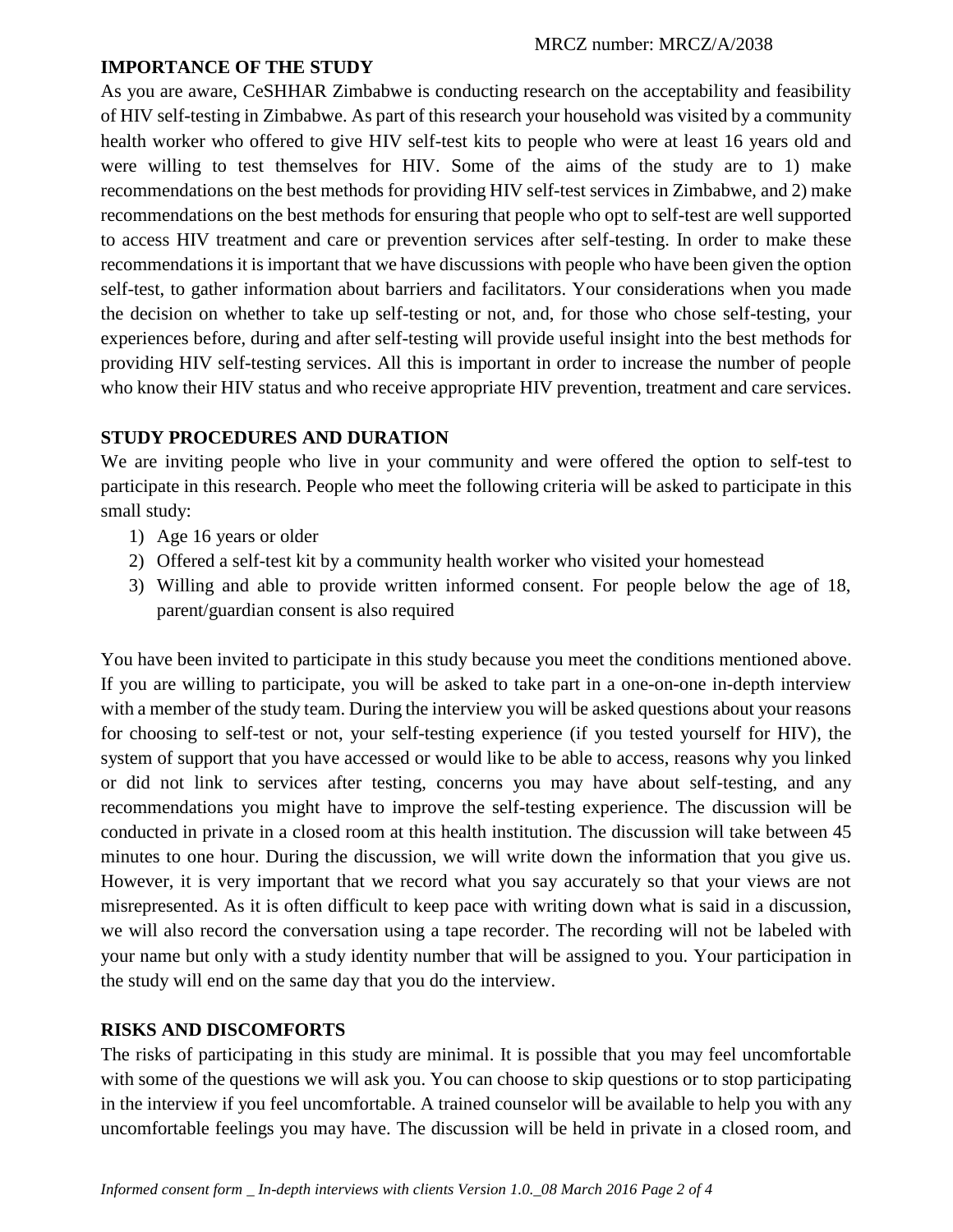#### **IMPORTANCE OF THE STUDY**

As you are aware, CeSHHAR Zimbabwe is conducting research on the acceptability and feasibility of HIV self-testing in Zimbabwe. As part of this research your household was visited by a community health worker who offered to give HIV self-test kits to people who were at least 16 years old and were willing to test themselves for HIV. Some of the aims of the study are to 1) make recommendations on the best methods for providing HIV self-test services in Zimbabwe, and 2) make recommendations on the best methods for ensuring that people who opt to self-test are well supported to access HIV treatment and care or prevention services after self-testing. In order to make these recommendations it is important that we have discussions with people who have been given the option self-test, to gather information about barriers and facilitators. Your considerations when you made the decision on whether to take up self-testing or not, and, for those who chose self-testing, your experiences before, during and after self-testing will provide useful insight into the best methods for providing HIV self-testing services. All this is important in order to increase the number of people who know their HIV status and who receive appropriate HIV prevention, treatment and care services.

# **STUDY PROCEDURES AND DURATION**

We are inviting people who live in your community and were offered the option to self-test to participate in this research. People who meet the following criteria will be asked to participate in this small study:

- 1) Age 16 years or older
- 2) Offered a self-test kit by a community health worker who visited your homestead
- 3) Willing and able to provide written informed consent. For people below the age of 18, parent/guardian consent is also required

You have been invited to participate in this study because you meet the conditions mentioned above. If you are willing to participate, you will be asked to take part in a one-on-one in-depth interview with a member of the study team. During the interview you will be asked questions about your reasons for choosing to self-test or not, your self-testing experience (if you tested yourself for HIV), the system of support that you have accessed or would like to be able to access, reasons why you linked or did not link to services after testing, concerns you may have about self-testing, and any recommendations you might have to improve the self-testing experience. The discussion will be conducted in private in a closed room at this health institution. The discussion will take between 45 minutes to one hour. During the discussion, we will write down the information that you give us. However, it is very important that we record what you say accurately so that your views are not misrepresented. As it is often difficult to keep pace with writing down what is said in a discussion, we will also record the conversation using a tape recorder. The recording will not be labeled with your name but only with a study identity number that will be assigned to you. Your participation in the study will end on the same day that you do the interview.

# **RISKS AND DISCOMFORTS**

The risks of participating in this study are minimal. It is possible that you may feel uncomfortable with some of the questions we will ask you. You can choose to skip questions or to stop participating in the interview if you feel uncomfortable. A trained counselor will be available to help you with any uncomfortable feelings you may have. The discussion will be held in private in a closed room, and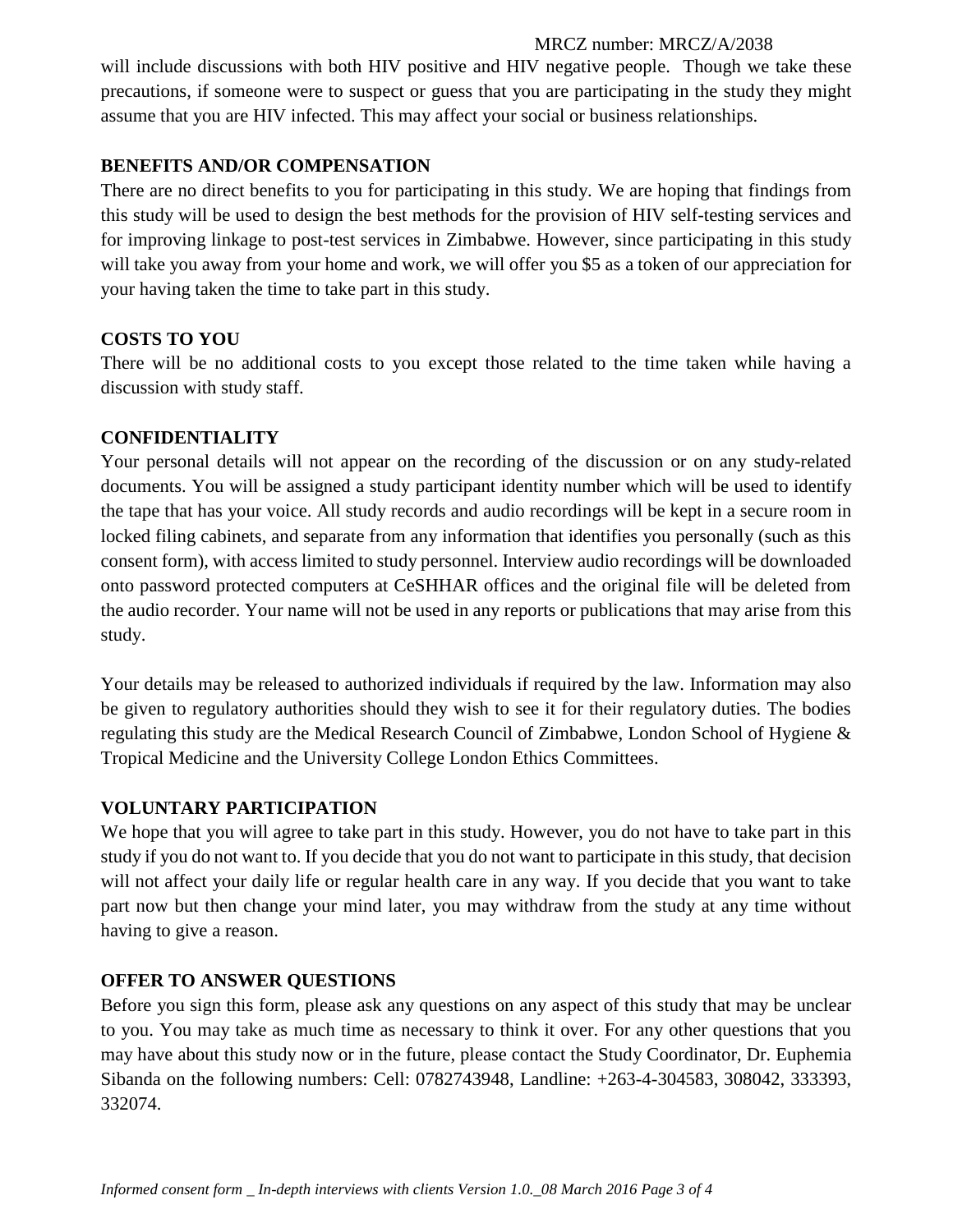#### MRCZ number: MRCZ/A/2038

will include discussions with both HIV positive and HIV negative people. Though we take these precautions, if someone were to suspect or guess that you are participating in the study they might assume that you are HIV infected. This may affect your social or business relationships.

### **BENEFITS AND/OR COMPENSATION**

There are no direct benefits to you for participating in this study. We are hoping that findings from this study will be used to design the best methods for the provision of HIV self-testing services and for improving linkage to post-test services in Zimbabwe. However, since participating in this study will take you away from your home and work, we will offer you \$5 as a token of our appreciation for your having taken the time to take part in this study.

## **COSTS TO YOU**

There will be no additional costs to you except those related to the time taken while having a discussion with study staff.

## **CONFIDENTIALITY**

Your personal details will not appear on the recording of the discussion or on any study-related documents. You will be assigned a study participant identity number which will be used to identify the tape that has your voice. All study records and audio recordings will be kept in a secure room in locked filing cabinets, and separate from any information that identifies you personally (such as this consent form), with access limited to study personnel. Interview audio recordings will be downloaded onto password protected computers at CeSHHAR offices and the original file will be deleted from the audio recorder. Your name will not be used in any reports or publications that may arise from this study.

Your details may be released to authorized individuals if required by the law. Information may also be given to regulatory authorities should they wish to see it for their regulatory duties. The bodies regulating this study are the Medical Research Council of Zimbabwe, London School of Hygiene & Tropical Medicine and the University College London Ethics Committees.

#### **VOLUNTARY PARTICIPATION**

We hope that you will agree to take part in this study. However, you do not have to take part in this study if you do not want to. If you decide that you do not want to participate in this study, that decision will not affect your daily life or regular health care in any way. If you decide that you want to take part now but then change your mind later, you may withdraw from the study at any time without having to give a reason.

#### **OFFER TO ANSWER QUESTIONS**

Before you sign this form, please ask any questions on any aspect of this study that may be unclear to you. You may take as much time as necessary to think it over. For any other questions that you may have about this study now or in the future, please contact the Study Coordinator, Dr. Euphemia Sibanda on the following numbers: Cell: 0782743948, Landline: +263-4-304583, 308042, 333393, 332074.